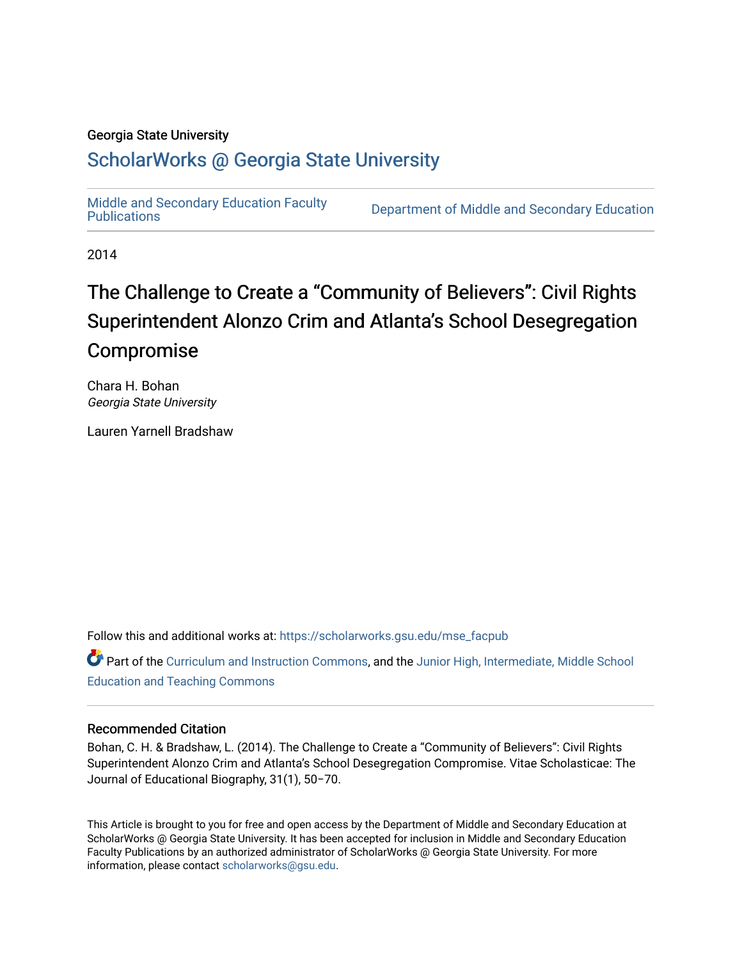#### Georgia State University

### [ScholarWorks @ Georgia State University](https://scholarworks.gsu.edu/)

[Middle and Secondary Education Faculty](https://scholarworks.gsu.edu/mse_facpub) 

Department of Middle and Secondary Education

2014

# The Challenge to Create a "Community of Believers": Civil Rights Superintendent Alonzo Crim and Atlanta's School Desegregation Compromise

Chara H. Bohan Georgia State University

Lauren Yarnell Bradshaw

Follow this and additional works at: [https://scholarworks.gsu.edu/mse\\_facpub](https://scholarworks.gsu.edu/mse_facpub?utm_source=scholarworks.gsu.edu%2Fmse_facpub%2F17&utm_medium=PDF&utm_campaign=PDFCoverPages) 

Part of the [Curriculum and Instruction Commons,](http://network.bepress.com/hgg/discipline/786?utm_source=scholarworks.gsu.edu%2Fmse_facpub%2F17&utm_medium=PDF&utm_campaign=PDFCoverPages) and the [Junior High, Intermediate, Middle School](http://network.bepress.com/hgg/discipline/807?utm_source=scholarworks.gsu.edu%2Fmse_facpub%2F17&utm_medium=PDF&utm_campaign=PDFCoverPages) [Education and Teaching Commons](http://network.bepress.com/hgg/discipline/807?utm_source=scholarworks.gsu.edu%2Fmse_facpub%2F17&utm_medium=PDF&utm_campaign=PDFCoverPages) 

#### Recommended Citation

Bohan, C. H. & Bradshaw, L. (2014). The Challenge to Create a "Community of Believers": Civil Rights Superintendent Alonzo Crim and Atlanta's School Desegregation Compromise. Vitae Scholasticae: The Journal of Educational Biography, 31(1), 50−70.

This Article is brought to you for free and open access by the Department of Middle and Secondary Education at ScholarWorks @ Georgia State University. It has been accepted for inclusion in Middle and Secondary Education Faculty Publications by an authorized administrator of ScholarWorks @ Georgia State University. For more information, please contact [scholarworks@gsu.edu](mailto:scholarworks@gsu.edu).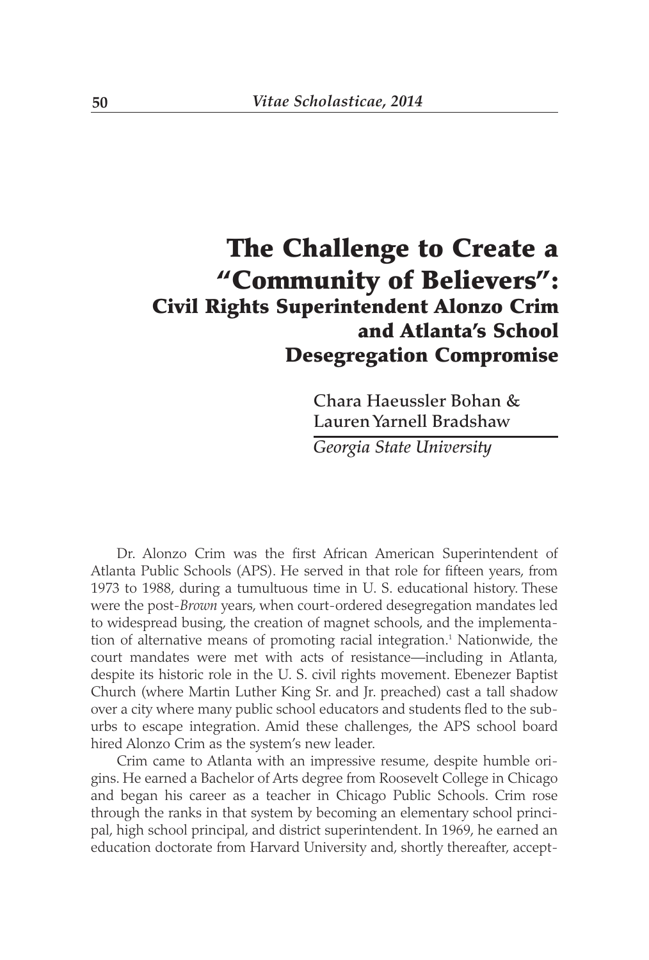## **The Challenge to Create a "Community of Believers": Civil Rights Superintendent Alonzo Crim and Atlanta's School Desegregation Compromise**

**Chara Haeussler Bohan & Lauren Yarnell Bradshaw**

*Georgia State University*

Dr. Alonzo Crim was the first African American Superintendent of Atlanta Public Schools (APS). He served in that role for fifteen years, from 1973 to 1988, during a tumultuous time in U. S. educational history. These were the post-*Brown* years, when court-ordered desegregation mandates led to widespread busing, the creation of magnet schools, and the implementation of alternative means of promoting racial integration.<sup>1</sup> Nationwide, the court mandates were met with acts of resistance—including in Atlanta, despite its historic role in the U. S. civil rights movement. Ebenezer Baptist Church (where Martin Luther King Sr. and Jr. preached) cast a tall shadow over a city where many public school educators and students fled to the suburbs to escape integration. Amid these challenges, the APS school board hired Alonzo Crim as the system's new leader.

Crim came to Atlanta with an impressive resume, despite humble origins. He earned a Bachelor of Arts degree from Roosevelt College in Chicago and began his career as a teacher in Chicago Public Schools. Crim rose through the ranks in that system by becoming an elementary school principal, high school principal, and district superintendent. In 1969, he earned an education doctorate from Harvard University and, shortly thereafter, accept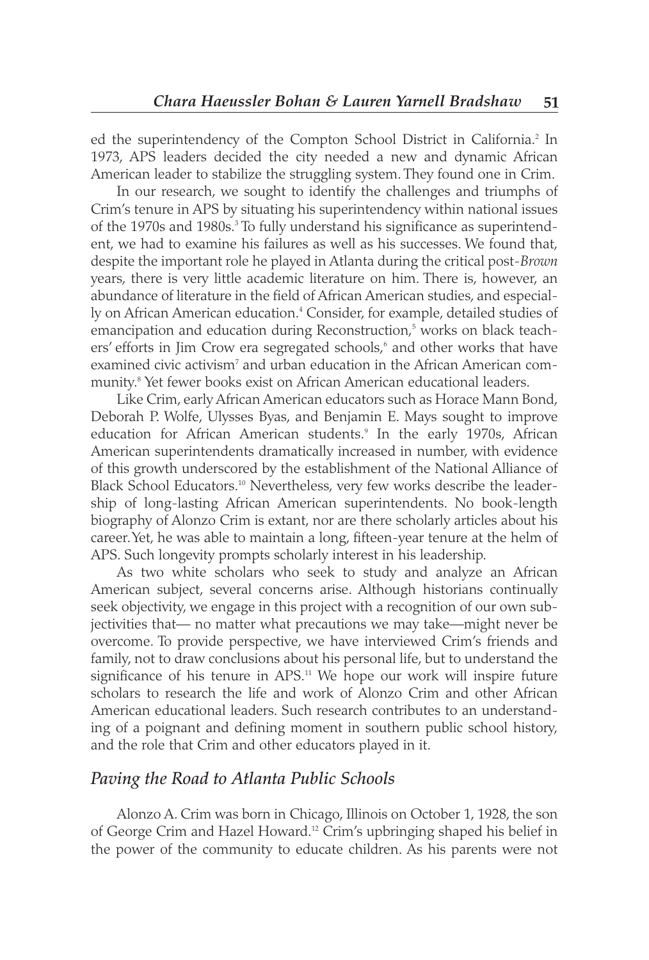ed the superintendency of the Compton School District in California.<sup>2</sup> In 1973, APS leaders decided the city needed a new and dynamic African American leader to stabilize the struggling system. They found one in Crim.

In our research, we sought to identify the challenges and triumphs of Crim's tenure in APS by situating his superintendency within national issues of the 1970s and 1980s.3 To fully understand his significance as superintendent, we had to examine his failures as well as his successes. We found that, despite the important role he played in Atlanta during the critical post-*Brown* years, there is very little academic literature on him. There is, however, an abundance of literature in the field of African American studies, and especially on African American education.<sup>4</sup> Consider, for example, detailed studies of emancipation and education during Reconstruction,<sup>5</sup> works on black teachers' efforts in Jim Crow era segregated schools,<sup>6</sup> and other works that have examined civic activism<sup>7</sup> and urban education in the African American community.8 Yet fewer books exist on African American educational leaders.

Like Crim, early African American educators such as Horace Mann Bond, Deborah P. Wolfe, Ulysses Byas, and Benjamin E. Mays sought to improve education for African American students.<sup>9</sup> In the early 1970s, African American superintendents dramatically increased in number, with evidence of this growth underscored by the establishment of the National Alliance of Black School Educators.<sup>10</sup> Nevertheless, very few works describe the leadership of long-lasting African American superintendents. No book-length biography of Alonzo Crim is extant, nor are there scholarly articles about his career. Yet, he was able to maintain a long, fifteen-year tenure at the helm of APS. Such longevity prompts scholarly interest in his leadership.

As two white scholars who seek to study and analyze an African American subject, several concerns arise. Although historians continually seek objectivity, we engage in this project with a recognition of our own subjectivities that— no matter what precautions we may take—might never be overcome. To provide perspective, we have interviewed Crim's friends and family, not to draw conclusions about his personal life, but to understand the significance of his tenure in  $APS<sup>11</sup>$  We hope our work will inspire future scholars to research the life and work of Alonzo Crim and other African American educational leaders. Such research contributes to an understanding of a poignant and defining moment in southern public school history, and the role that Crim and other educators played in it.

#### *Paving the Road to Atlanta Public Schools*

Alonzo A. Crim was born in Chicago, Illinois on October 1, 1928, the son of George Crim and Hazel Howard.12 Crim's upbringing shaped his belief in the power of the community to educate children. As his parents were not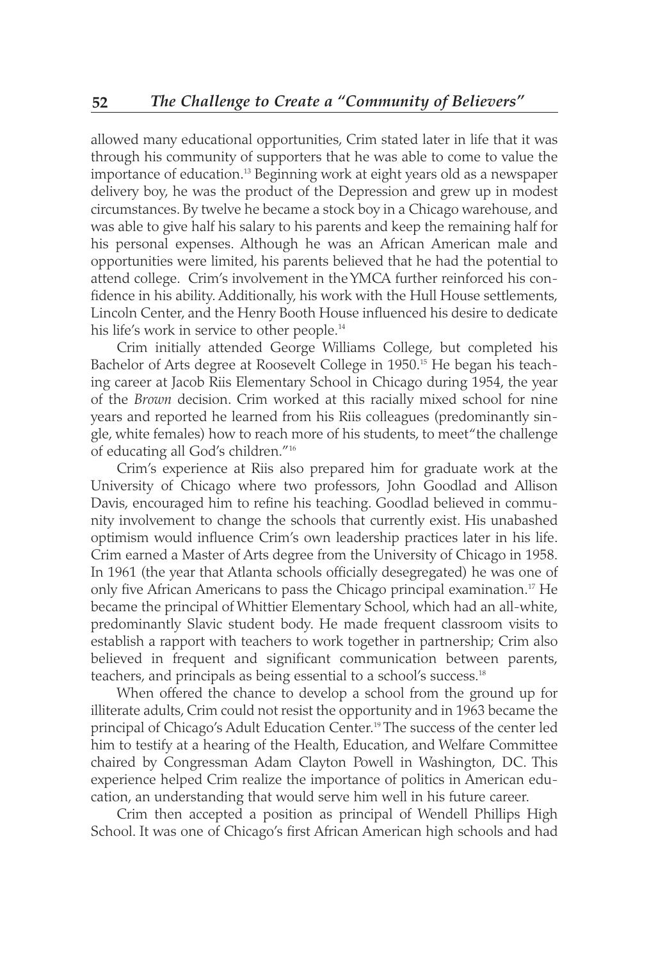allowed many educational opportunities, Crim stated later in life that it was through his community of supporters that he was able to come to value the importance of education.<sup>13</sup> Beginning work at eight years old as a newspaper delivery boy, he was the product of the Depression and grew up in modest circumstances. By twelve he became a stock boy in a Chicago warehouse, and was able to give half his salary to his parents and keep the remaining half for his personal expenses. Although he was an African American male and opportunities were limited, his parents believed that he had the potential to attend college. Crim's involvement in the YMCA further reinforced his confidence in his ability. Additionally, his work with the Hull House settlements, Lincoln Center, and the Henry Booth House influenced his desire to dedicate his life's work in service to other people.<sup>14</sup>

Crim initially attended George Williams College, but completed his Bachelor of Arts degree at Roosevelt College in 1950.<sup>15</sup> He began his teaching career at Jacob Riis Elementary School in Chicago during 1954, the year of the *Brown* decision. Crim worked at this racially mixed school for nine years and reported he learned from his Riis colleagues (predominantly single, white females) how to reach more of his students, to meet "the challenge of educating all God's children."16

Crim's experience at Riis also prepared him for graduate work at the University of Chicago where two professors, John Goodlad and Allison Davis, encouraged him to refine his teaching. Goodlad believed in community involvement to change the schools that currently exist. His unabashed optimism would influence Crim's own leadership practices later in his life. Crim earned a Master of Arts degree from the University of Chicago in 1958. In 1961 (the year that Atlanta schools officially desegregated) he was one of only five African Americans to pass the Chicago principal examination.<sup>17</sup> He became the principal of Whittier Elementary School, which had an all-white, predominantly Slavic student body. He made frequent classroom visits to establish a rapport with teachers to work together in partnership; Crim also believed in frequent and significant communication between parents, teachers, and principals as being essential to a school's success.18

When offered the chance to develop a school from the ground up for illiterate adults, Crim could not resist the opportunity and in 1963 became the principal of Chicago's Adult Education Center.19 The success of the center led him to testify at a hearing of the Health, Education, and Welfare Committee chaired by Congressman Adam Clayton Powell in Washington, DC. This experience helped Crim realize the importance of politics in American education, an understanding that would serve him well in his future career.

Crim then accepted a position as principal of Wendell Phillips High School. It was one of Chicago's first African American high schools and had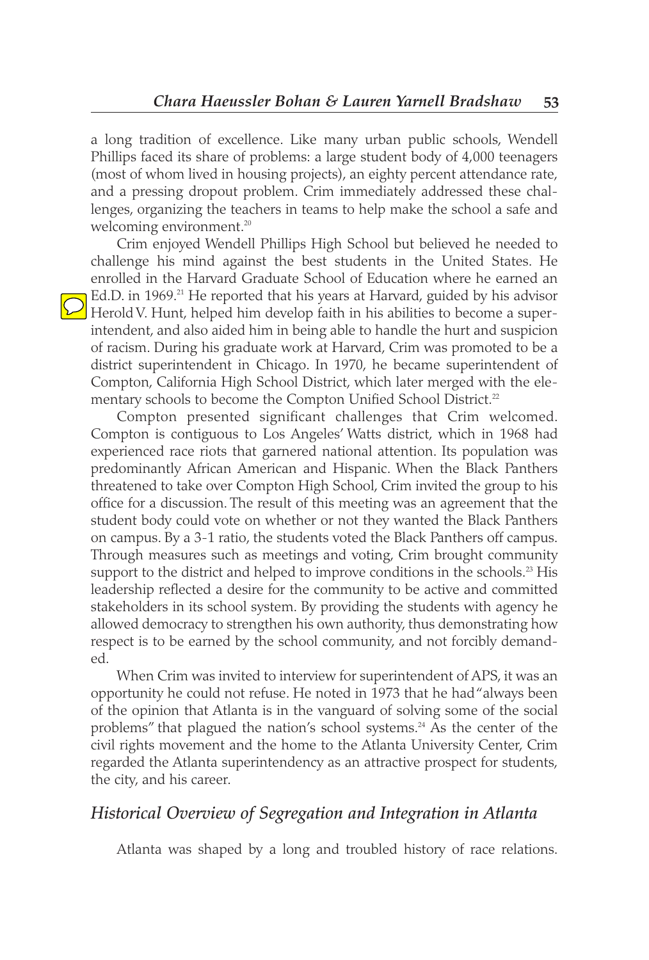a long tradition of excellence. Like many urban public schools, Wendell Phillips faced its share of problems: a large student body of 4,000 teenagers (most of whom lived in housing projects), an eighty percent attendance rate, and a pressing dropout problem. Crim immediately addressed these challenges, organizing the teachers in teams to help make the school a safe and welcoming environment.<sup>20</sup>

Crim enjoyed Wendell Phillips High School but believed he needed to challenge his mind against the best students in the United States. He enrolled in the Harvard Graduate School of Education where he earned an **Ed.D.** in 1969.<sup>21</sup> He reported that his years at Harvard, guided by his advisor Herold V. Hunt, helped him develop faith in his abilities to become a superintendent, and also aided him in being able to handle the hurt and suspicion of racism. During his graduate work at Harvard, Crim was promoted to be a district superintendent in Chicago. In 1970, he became superintendent of Compton, California High School District, which later merged with the elementary schools to become the Compton Unified School District.<sup>22</sup>

Compton presented significant challenges that Crim welcomed. Compton is contiguous to Los Angeles' Watts district, which in 1968 had experienced race riots that garnered national attention. Its population was predominantly African American and Hispanic. When the Black Panthers threatened to take over Compton High School, Crim invited the group to his office for a discussion. The result of this meeting was an agreement that the student body could vote on whether or not they wanted the Black Panthers on campus. By a 3-1 ratio, the students voted the Black Panthers off campus. Through measures such as meetings and voting, Crim brought community support to the district and helped to improve conditions in the schools.<sup>23</sup> His leadership reflected a desire for the community to be active and committed stakeholders in its school system. By providing the students with agency he allowed democracy to strengthen his own authority, thus demonstrating how respect is to be earned by the school community, and not forcibly demanded.

When Crim was invited to interview for superintendent of APS, it was an opportunity he could not refuse. He noted in 1973 that he had "always been of the opinion that Atlanta is in the vanguard of solving some of the social problems" that plagued the nation's school systems.<sup>24</sup> As the center of the civil rights movement and the home to the Atlanta University Center, Crim regarded the Atlanta superintendency as an attractive prospect for students, the city, and his career.

#### *Historical Overview of Segregation and Integration in Atlanta*

Atlanta was shaped by a long and troubled history of race relations.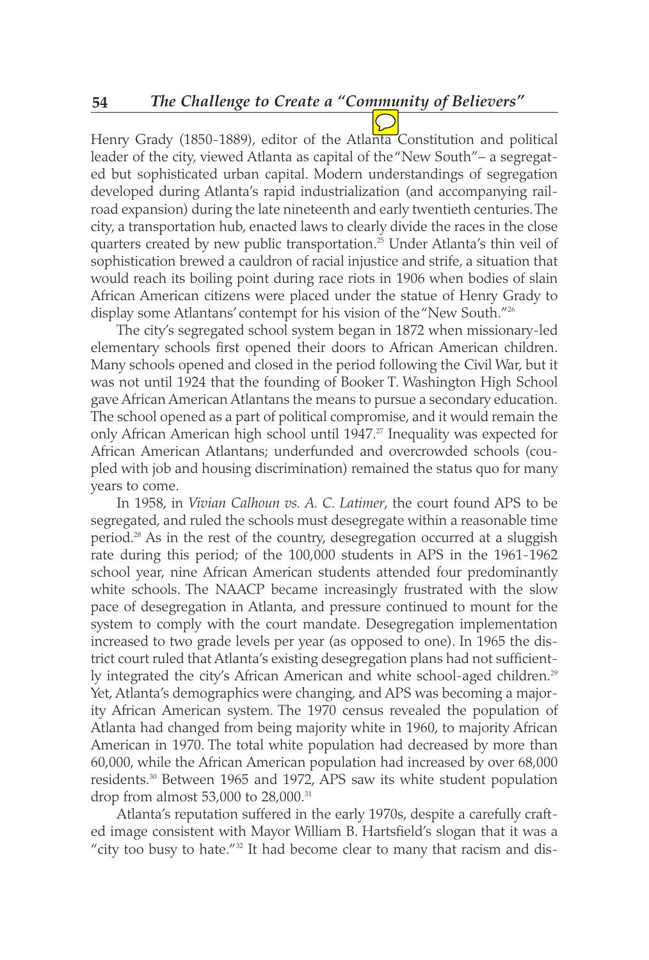Henry Grady (1850-1889), editor of the Atlanta Constitution and political leader of the city, viewed Atlanta as capital of the "New South"– a segregated but sophisticated urban capital. Modern understandings of segregation developed during Atlanta's rapid industrialization (and accompanying railroad expansion) during the late nineteenth and early twentieth centuries. The city, a transportation hub, enacted laws to clearly divide the races in the close quarters created by new public transportation.25 Under Atlanta's thin veil of sophistication brewed a cauldron of racial injustice and strife, a situation that would reach its boiling point during race riots in 1906 when bodies of slain African American citizens were placed under the statue of Henry Grady to display some Atlantans' contempt for his vision of the "New South."<sup>26</sup>

The city's segregated school system began in 1872 when missionary-led elementary schools first opened their doors to African American children. Many schools opened and closed in the period following the Civil War, but it was not until 1924 that the founding of Booker T. Washington High School gave African American Atlantans the means to pursue a secondary education. The school opened as a part of political compromise, and it would remain the only African American high school until 1947.<sup>27</sup> Inequality was expected for African American Atlantans; underfunded and overcrowded schools (coupled with job and housing discrimination) remained the status quo for many years to come.

In 1958, in *Vivian Calhoun vs. A. C. Latimer*, the court found APS to be segregated, and ruled the schools must desegregate within a reasonable time period.28 As in the rest of the country, desegregation occurred at a sluggish rate during this period; of the 100,000 students in APS in the 1961-1962 school year, nine African American students attended four predominantly white schools. The NAACP became increasingly frustrated with the slow pace of desegregation in Atlanta, and pressure continued to mount for the system to comply with the court mandate. Desegregation implementation increased to two grade levels per year (as opposed to one). In 1965 the district court ruled that Atlanta's existing desegregation plans had not sufficiently integrated the city's African American and white school-aged children.<sup>29</sup> Yet, Atlanta's demographics were changing, and APS was becoming a majority African American system. The 1970 census revealed the population of Atlanta had changed from being majority white in 1960, to majority African American in 1970. The total white population had decreased by more than 60,000, while the African American population had increased by over 68,000 residents.30 Between 1965 and 1972, APS saw its white student population drop from almost 53,000 to 28,000.<sup>31</sup>

Atlanta's reputation suffered in the early 1970s, despite a carefully crafted image consistent with Mayor William B. Hartsfield's slogan that it was a "city too busy to hate."<sup>32</sup> It had become clear to many that racism and dis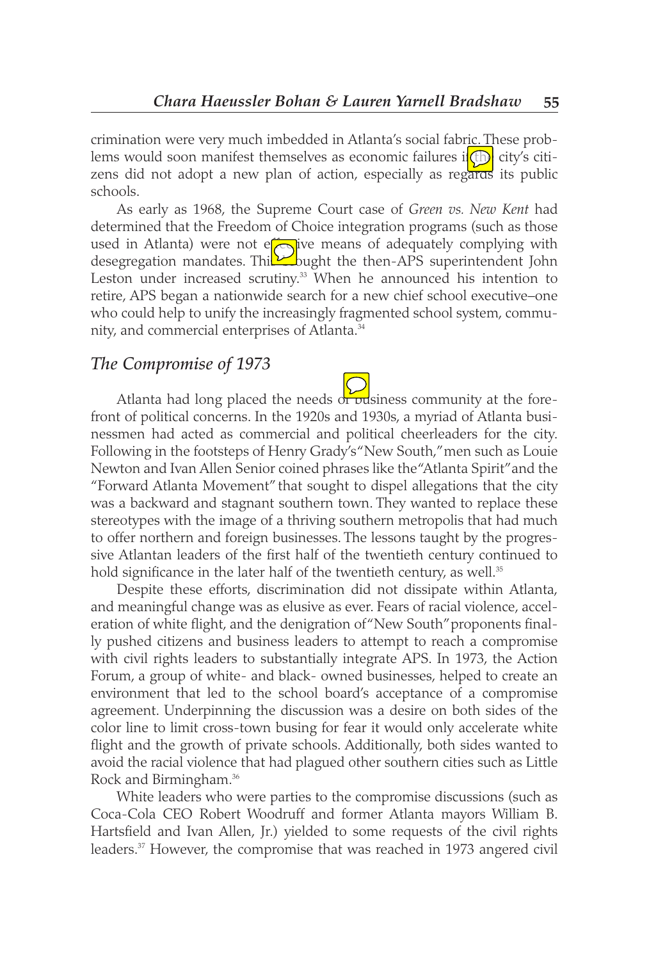crimination were very much imbedded in Atlanta's social fabric. These problems would soon manifest themselves as economic failures i**(th)** city's citizens did not adopt a new plan of action, especially as regards its public schools.

As early as 1968, the Supreme Court case of *Green vs. New Kent* had determined that the Freedom of Choice integration programs (such as those used in Atlanta) were not efarive means of adequately complying with desegregation mandates. Thi $\Sigma$ bught the then-APS superintendent John Leston under increased scrutiny.<sup>33</sup> When he announced his intention to retire, APS began a nationwide search for a new chief school executive–one who could help to unify the increasingly fragmented school system, community, and commercial enterprises of Atlanta.<sup>34</sup>

#### *The Compromise of 1973*

Atlanta had long placed the needs of pusiness community at the forefront of political concerns. In the 1920s and 1930s, a myriad of Atlanta businessmen had acted as commercial and political cheerleaders for the city. Following in the footsteps of Henry Grady's "New South," men such as Louie Newton and Ivan Allen Senior coined phrases like the "Atlanta Spirit" and the "Forward Atlanta Movement" that sought to dispel allegations that the city was a backward and stagnant southern town. They wanted to replace these stereotypes with the image of a thriving southern metropolis that had much to offer northern and foreign businesses. The lessons taught by the progressive Atlantan leaders of the first half of the twentieth century continued to hold significance in the later half of the twentieth century, as well.<sup>35</sup>

Despite these efforts, discrimination did not dissipate within Atlanta, and meaningful change was as elusive as ever. Fears of racial violence, acceleration of white flight, and the denigration of "New South" proponents finally pushed citizens and business leaders to attempt to reach a compromise with civil rights leaders to substantially integrate APS. In 1973, the Action Forum, a group of white- and black- owned businesses, helped to create an environment that led to the school board's acceptance of a compromise agreement. Underpinning the discussion was a desire on both sides of the color line to limit cross-town busing for fear it would only accelerate white flight and the growth of private schools. Additionally, both sides wanted to avoid the racial violence that had plagued other southern cities such as Little Rock and Birmingham.<sup>36</sup>

White leaders who were parties to the compromise discussions (such as Coca-Cola CEO Robert Woodruff and former Atlanta mayors William B. Hartsfield and Ivan Allen, Jr.) yielded to some requests of the civil rights leaders.<sup>37</sup> However, the compromise that was reached in 1973 angered civil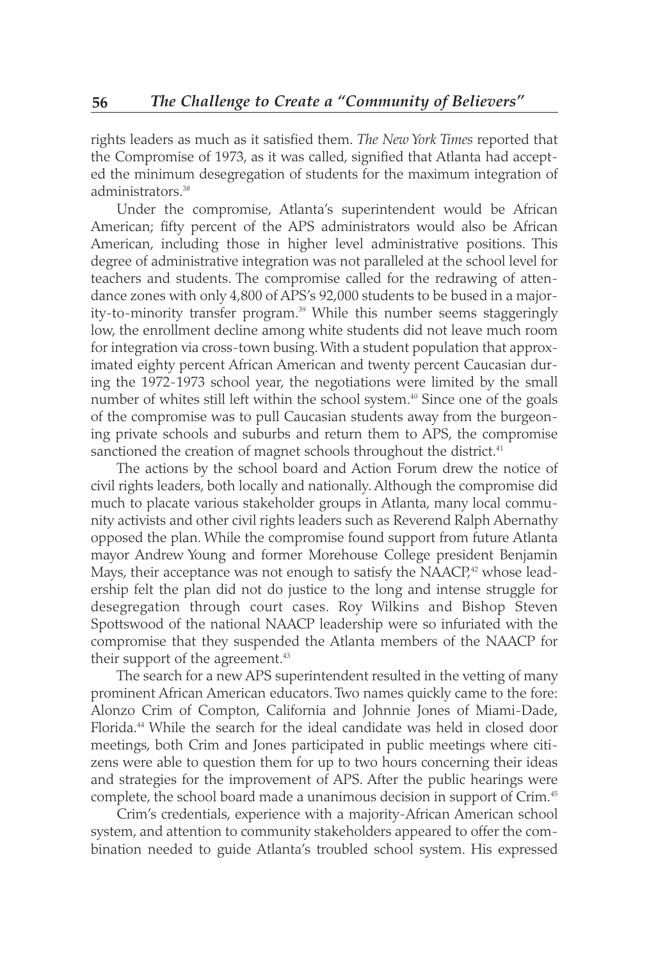rights leaders as much as it satisfied them. *The New York Times* reported that the Compromise of 1973, as it was called, signified that Atlanta had accepted the minimum desegregation of students for the maximum integration of administrators.<sup>38</sup>

Under the compromise, Atlanta's superintendent would be African American; fifty percent of the APS administrators would also be African American, including those in higher level administrative positions. This degree of administrative integration was not paralleled at the school level for teachers and students. The compromise called for the redrawing of attendance zones with only 4,800 of APS's 92,000 students to be bused in a majority-to-minority transfer program.<sup>39</sup> While this number seems staggeringly low, the enrollment decline among white students did not leave much room for integration via cross-town busing. With a student population that approximated eighty percent African American and twenty percent Caucasian during the 1972-1973 school year, the negotiations were limited by the small number of whites still left within the school system.<sup>40</sup> Since one of the goals of the compromise was to pull Caucasian students away from the burgeoning private schools and suburbs and return them to APS, the compromise sanctioned the creation of magnet schools throughout the district.<sup>41</sup>

The actions by the school board and Action Forum drew the notice of civil rights leaders, both locally and nationally. Although the compromise did much to placate various stakeholder groups in Atlanta, many local community activists and other civil rights leaders such as Reverend Ralph Abernathy opposed the plan. While the compromise found support from future Atlanta mayor Andrew Young and former Morehouse College president Benjamin Mays, their acceptance was not enough to satisfy the NAACP,<sup>22</sup> whose leadership felt the plan did not do justice to the long and intense struggle for desegregation through court cases. Roy Wilkins and Bishop Steven Spottswood of the national NAACP leadership were so infuriated with the compromise that they suspended the Atlanta members of the NAACP for their support of the agreement.<sup>43</sup>

The search for a new APS superintendent resulted in the vetting of many prominent African American educators. Two names quickly came to the fore: Alonzo Crim of Compton, California and Johnnie Jones of Miami-Dade, Florida.<sup>44</sup> While the search for the ideal candidate was held in closed door meetings, both Crim and Jones participated in public meetings where citizens were able to question them for up to two hours concerning their ideas and strategies for the improvement of APS. After the public hearings were complete, the school board made a unanimous decision in support of Crim.45

Crim's credentials, experience with a majority-African American school system, and attention to community stakeholders appeared to offer the combination needed to guide Atlanta's troubled school system. His expressed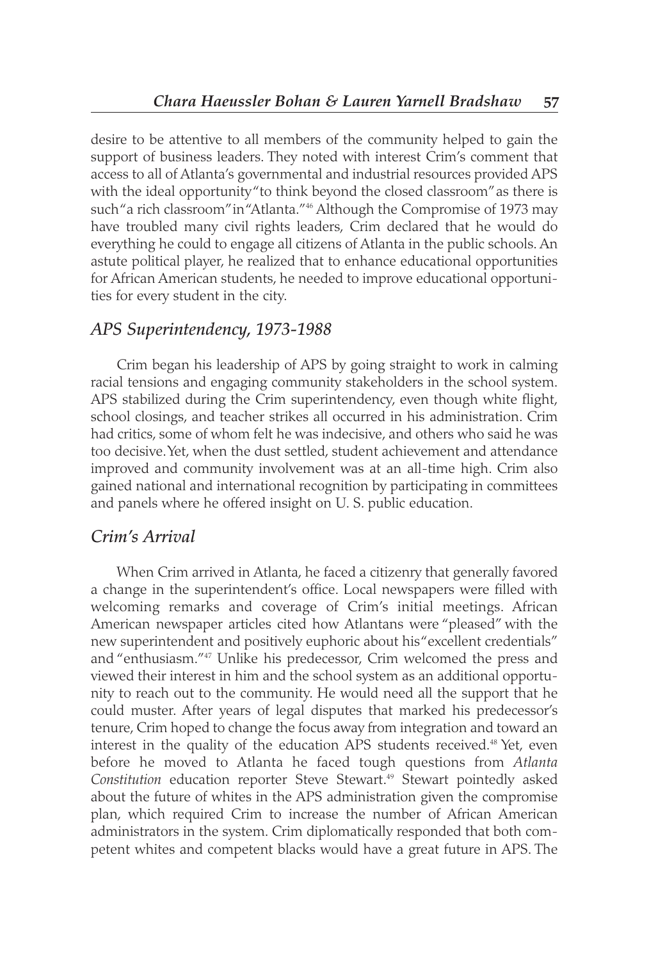desire to be attentive to all members of the community helped to gain the support of business leaders. They noted with interest Crim's comment that access to all of Atlanta's governmental and industrial resources provided APS with the ideal opportunity "to think beyond the closed classroom" as there is such "a rich classroom" in "Atlanta."<sup>46</sup> Although the Compromise of 1973 may have troubled many civil rights leaders, Crim declared that he would do everything he could to engage all citizens of Atlanta in the public schools. An astute political player, he realized that to enhance educational opportunities for African American students, he needed to improve educational opportunities for every student in the city.

#### *APS Superintendency, 1973-1988*

Crim began his leadership of APS by going straight to work in calming racial tensions and engaging community stakeholders in the school system. APS stabilized during the Crim superintendency, even though white flight, school closings, and teacher strikes all occurred in his administration. Crim had critics, some of whom felt he was indecisive, and others who said he was too decisive. Yet, when the dust settled, student achievement and attendance improved and community involvement was at an all-time high. Crim also gained national and international recognition by participating in committees and panels where he offered insight on U. S. public education.

#### *Crim's Arrival*

When Crim arrived in Atlanta, he faced a citizenry that generally favored a change in the superintendent's office. Local newspapers were filled with welcoming remarks and coverage of Crim's initial meetings. African American newspaper articles cited how Atlantans were "pleased" with the new superintendent and positively euphoric about his "excellent credentials" and "enthusiasm."47 Unlike his predecessor, Crim welcomed the press and viewed their interest in him and the school system as an additional opportunity to reach out to the community. He would need all the support that he could muster. After years of legal disputes that marked his predecessor's tenure, Crim hoped to change the focus away from integration and toward an interest in the quality of the education APS students received.<sup>48</sup> Yet, even before he moved to Atlanta he faced tough questions from *Atlanta* Constitution education reporter Steve Stewart.<sup>49</sup> Stewart pointedly asked about the future of whites in the APS administration given the compromise plan, which required Crim to increase the number of African American administrators in the system. Crim diplomatically responded that both competent whites and competent blacks would have a great future in APS. The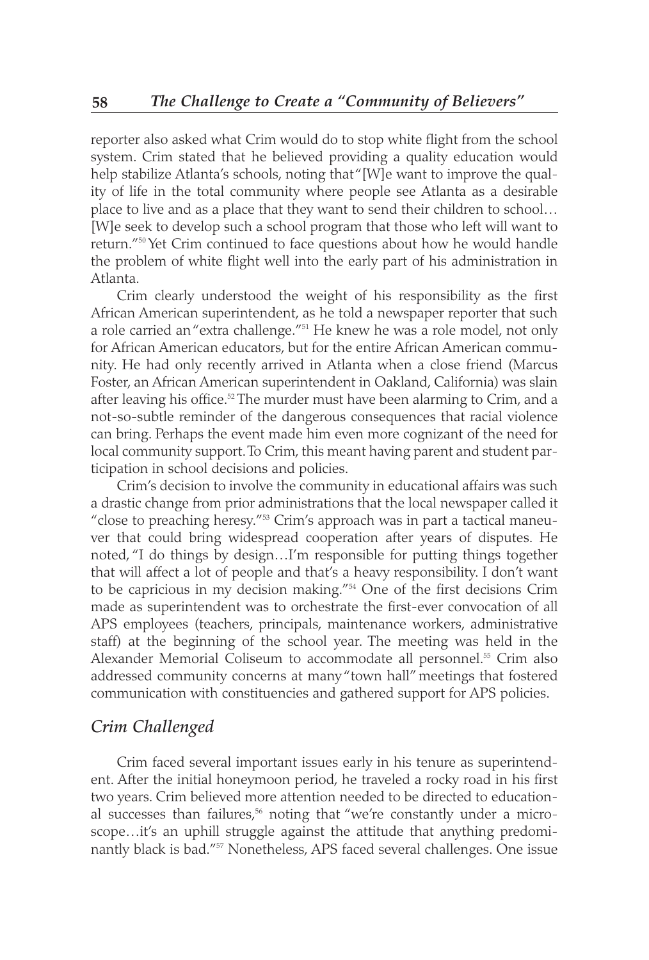reporter also asked what Crim would do to stop white flight from the school system. Crim stated that he believed providing a quality education would help stabilize Atlanta's schools, noting that "[W]e want to improve the quality of life in the total community where people see Atlanta as a desirable place to live and as a place that they want to send their children to school… [W]e seek to develop such a school program that those who left will want to return."50 Yet Crim continued to face questions about how he would handle the problem of white flight well into the early part of his administration in Atlanta.

Crim clearly understood the weight of his responsibility as the first African American superintendent, as he told a newspaper reporter that such a role carried an "extra challenge."<sup>51</sup> He knew he was a role model, not only for African American educators, but for the entire African American community. He had only recently arrived in Atlanta when a close friend (Marcus Foster, an African American superintendent in Oakland, California) was slain after leaving his office.<sup>52</sup> The murder must have been alarming to Crim, and a not-so-subtle reminder of the dangerous consequences that racial violence can bring. Perhaps the event made him even more cognizant of the need for local community support. To Crim, this meant having parent and student participation in school decisions and policies.

Crim's decision to involve the community in educational affairs was such a drastic change from prior administrations that the local newspaper called it "close to preaching heresy."<sup>53</sup> Crim's approach was in part a tactical maneuver that could bring widespread cooperation after years of disputes. He noted, "I do things by design…I'm responsible for putting things together that will affect a lot of people and that's a heavy responsibility. I don't want to be capricious in my decision making."54 One of the first decisions Crim made as superintendent was to orchestrate the first-ever convocation of all APS employees (teachers, principals, maintenance workers, administrative staff) at the beginning of the school year. The meeting was held in the Alexander Memorial Coliseum to accommodate all personnel.<sup>55</sup> Crim also addressed community concerns at many "town hall" meetings that fostered communication with constituencies and gathered support for APS policies.

#### *Crim Challenged*

Crim faced several important issues early in his tenure as superintendent. After the initial honeymoon period, he traveled a rocky road in his first two years. Crim believed more attention needed to be directed to educational successes than failures,<sup>56</sup> noting that "we're constantly under a microscope…it's an uphill struggle against the attitude that anything predominantly black is bad."57 Nonetheless, APS faced several challenges. One issue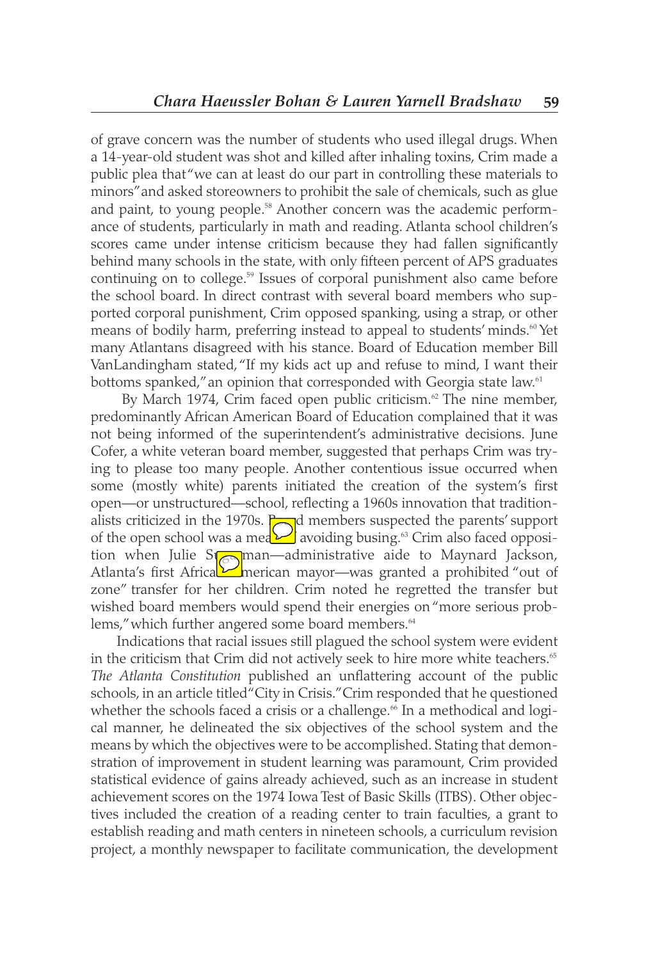of grave concern was the number of students who used illegal drugs. When a 14-year-old student was shot and killed after inhaling toxins, Crim made a public plea that "we can at least do our part in controlling these materials to minors" and asked storeowners to prohibit the sale of chemicals, such as glue and paint, to young people.<sup>58</sup> Another concern was the academic performance of students, particularly in math and reading. Atlanta school children's scores came under intense criticism because they had fallen significantly behind many schools in the state, with only fifteen percent of APS graduates continuing on to college.<sup>59</sup> Issues of corporal punishment also came before the school board. In direct contrast with several board members who supported corporal punishment, Crim opposed spanking, using a strap, or other means of bodily harm, preferring instead to appeal to students' minds.<sup>60</sup> Yet many Atlantans disagreed with his stance. Board of Education member Bill VanLandingham stated, "If my kids act up and refuse to mind, I want their bottoms spanked," an opinion that corresponded with Georgia state law.<sup>61</sup>

By March 1974, Crim faced open public criticism.<sup>62</sup> The nine member, predominantly African American Board of Education complained that it was not being informed of the superintendent's administrative decisions. June Cofer, a white veteran board member, suggested that perhaps Crim was trying to please too many people. Another contentious issue occurred when some (mostly white) parents initiated the creation of the system's first open—or unstructured—school, reflecting a 1960s innovation that traditionalists criticized in the 1970s.  $\Box$ d members suspected the parents' support of the open school was a mea $\sum$  avoiding busing.<sup>63</sup> Crim also faced opposition when Julie Sterlinan—administrative aide to Maynard Jackson, Atlanta's first Africal $\nu$  merican mayor—was granted a prohibited "out of zone" transfer for her children. Crim noted he regretted the transfer but wished board members would spend their energies on "more serious problems," which further angered some board members.<sup>64</sup>

Indications that racial issues still plagued the school system were evident in the criticism that Crim did not actively seek to hire more white teachers.<sup>65</sup> *The Atlanta Constitution* published an unflattering account of the public schools, in an article titled "City in Crisis." Crim responded that he questioned whether the schools faced a crisis or a challenge.<sup>66</sup> In a methodical and logical manner, he delineated the six objectives of the school system and the means by which the objectives were to be accomplished. Stating that demonstration of improvement in student learning was paramount, Crim provided statistical evidence of gains already achieved, such as an increase in student achievement scores on the 1974 Iowa Test of Basic Skills (ITBS). Other objectives included the creation of a reading center to train faculties, a grant to establish reading and math centers in nineteen schools, a curriculum revision project, a monthly newspaper to facilitate communication, the development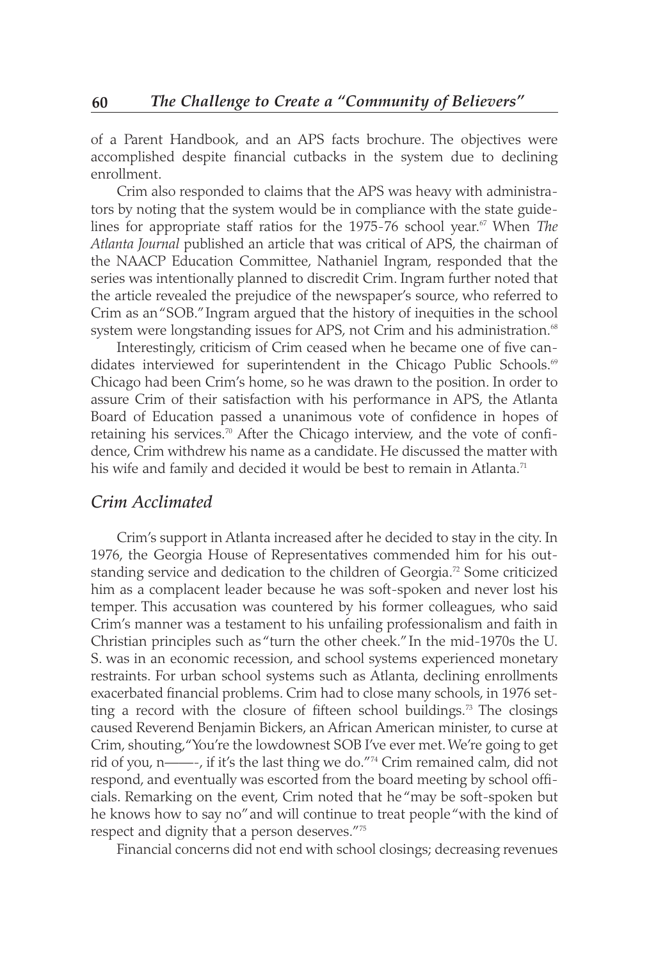of a Parent Handbook, and an APS facts brochure. The objectives were accomplished despite financial cutbacks in the system due to declining enrollment.

Crim also responded to claims that the APS was heavy with administrators by noting that the system would be in compliance with the state guidelines for appropriate staff ratios for the 1975-76 school year.<sup>67</sup> When *The Atlanta Journal* published an article that was critical of APS, the chairman of the NAACP Education Committee, Nathaniel Ingram, responded that the series was intentionally planned to discredit Crim. Ingram further noted that the article revealed the prejudice of the newspaper's source, who referred to Crim as an "SOB." Ingram argued that the history of inequities in the school system were longstanding issues for APS, not Crim and his administration.<sup>68</sup>

Interestingly, criticism of Crim ceased when he became one of five candidates interviewed for superintendent in the Chicago Public Schools.<sup>69</sup> Chicago had been Crim's home, so he was drawn to the position. In order to assure Crim of their satisfaction with his performance in APS, the Atlanta Board of Education passed a unanimous vote of confidence in hopes of retaining his services.<sup>70</sup> After the Chicago interview, and the vote of confidence, Crim withdrew his name as a candidate. He discussed the matter with his wife and family and decided it would be best to remain in Atlanta.<sup>71</sup>

#### *Crim Acclimated*

Crim's support in Atlanta increased after he decided to stay in the city. In 1976, the Georgia House of Representatives commended him for his outstanding service and dedication to the children of Georgia.<sup>72</sup> Some criticized him as a complacent leader because he was soft-spoken and never lost his temper. This accusation was countered by his former colleagues, who said Crim's manner was a testament to his unfailing professionalism and faith in Christian principles such as "turn the other cheek." In the mid-1970s the U. S. was in an economic recession, and school systems experienced monetary restraints. For urban school systems such as Atlanta, declining enrollments exacerbated financial problems. Crim had to close many schools, in 1976 setting a record with the closure of fifteen school buildings.<sup>73</sup> The closings caused Reverend Benjamin Bickers, an African American minister, to curse at Crim, shouting, "You're the lowdownest SOB I've ever met. We're going to get rid of you, n——-, if it's the last thing we do."74 Crim remained calm, did not respond, and eventually was escorted from the board meeting by school officials. Remarking on the event, Crim noted that he "may be soft-spoken but he knows how to say no" and will continue to treat people "with the kind of respect and dignity that a person deserves."75

Financial concerns did not end with school closings; decreasing revenues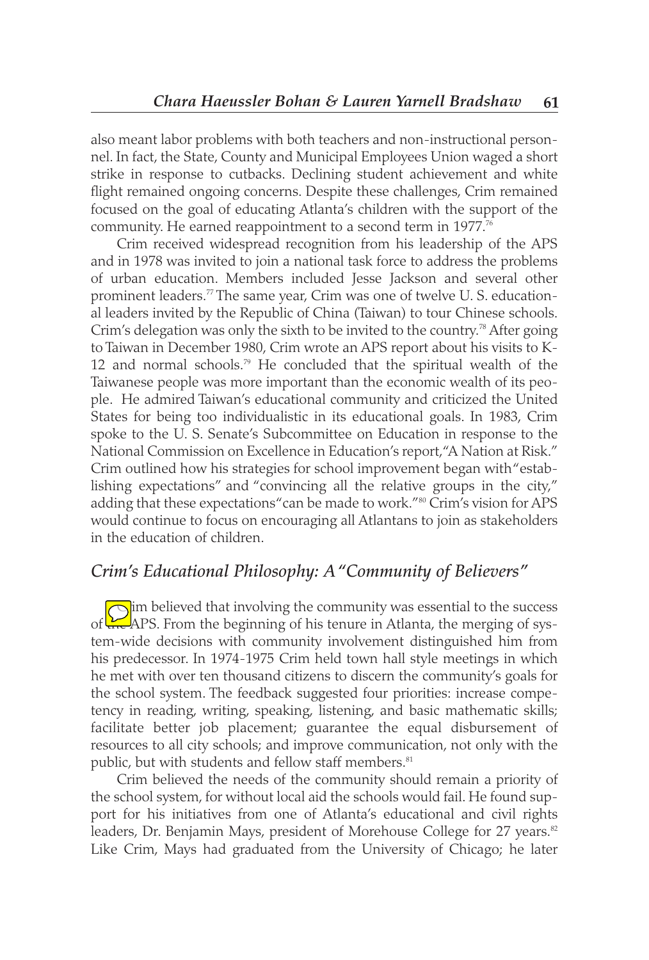also meant labor problems with both teachers and non-instructional personnel. In fact, the State, County and Municipal Employees Union waged a short strike in response to cutbacks. Declining student achievement and white flight remained ongoing concerns. Despite these challenges, Crim remained focused on the goal of educating Atlanta's children with the support of the community. He earned reappointment to a second term in 1977.<sup>76</sup>

Crim received widespread recognition from his leadership of the APS and in 1978 was invited to join a national task force to address the problems of urban education. Members included Jesse Jackson and several other prominent leaders.77 The same year, Crim was one of twelve U. S. educational leaders invited by the Republic of China (Taiwan) to tour Chinese schools. Crim's delegation was only the sixth to be invited to the country.<sup>78</sup> After going to Taiwan in December 1980, Crim wrote an APS report about his visits to K-12 and normal schools.<sup>79</sup> He concluded that the spiritual wealth of the Taiwanese people was more important than the economic wealth of its people. He admired Taiwan's educational community and criticized the United States for being too individualistic in its educational goals. In 1983, Crim spoke to the U. S. Senate's Subcommittee on Education in response to the National Commission on Excellence in Education's report, "A Nation at Risk." Crim outlined how his strategies for school improvement began with "establishing expectations" and "convincing all the relative groups in the city," adding that these expectations "can be made to work."<sup>80</sup> Crim's vision for APS would continue to focus on encouraging all Atlantans to join as stakeholders in the education of children.

#### *Crim's Educational Philosophy: A "Community of Believers"*

 $\bigcap$  im believed that involving the community was essential to the success of the APS. From the beginning of his tenure in Atlanta, the merging of system-wide decisions with community involvement distinguished him from his predecessor. In 1974-1975 Crim held town hall style meetings in which he met with over ten thousand citizens to discern the community's goals for the school system. The feedback suggested four priorities: increase competency in reading, writing, speaking, listening, and basic mathematic skills; facilitate better job placement; guarantee the equal disbursement of resources to all city schools; and improve communication, not only with the public, but with students and fellow staff members.<sup>81</sup>

Crim believed the needs of the community should remain a priority of the school system, for without local aid the schools would fail. He found support for his initiatives from one of Atlanta's educational and civil rights leaders, Dr. Benjamin Mays, president of Morehouse College for 27 years.<sup>82</sup> Like Crim, Mays had graduated from the University of Chicago; he later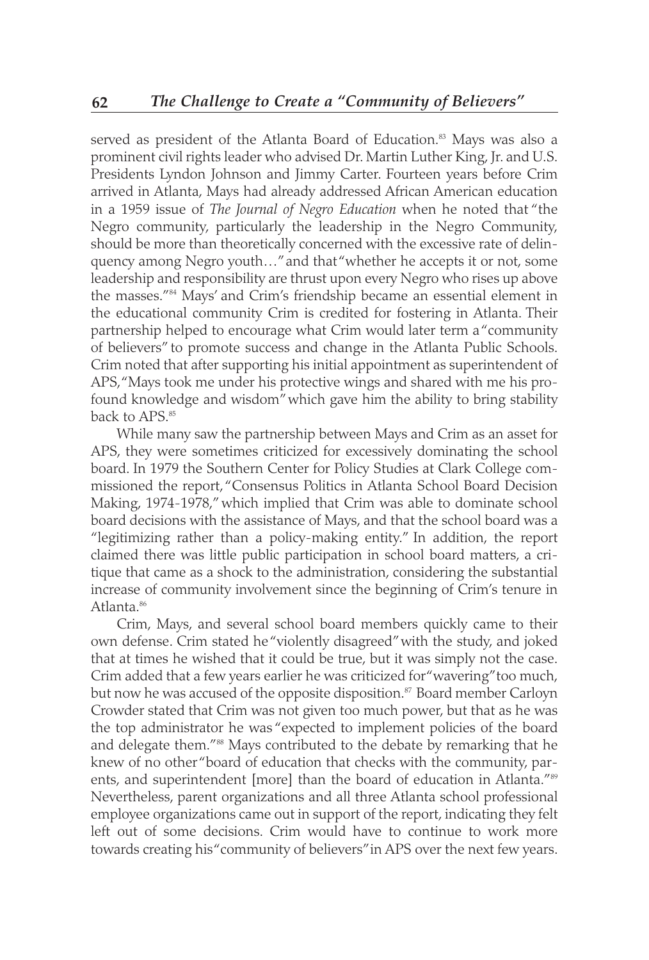served as president of the Atlanta Board of Education.<sup>83</sup> Mays was also a prominent civil rights leader who advised Dr. Martin Luther King, Jr. and U.S. Presidents Lyndon Johnson and Jimmy Carter. Fourteen years before Crim arrived in Atlanta, Mays had already addressed African American education in a 1959 issue of *The Journal of Negro Education* when he noted that "the Negro community, particularly the leadership in the Negro Community, should be more than theoretically concerned with the excessive rate of delinquency among Negro youth…" and that "whether he accepts it or not, some leadership and responsibility are thrust upon every Negro who rises up above the masses."84 Mays' and Crim's friendship became an essential element in the educational community Crim is credited for fostering in Atlanta. Their partnership helped to encourage what Crim would later term a "community of believers" to promote success and change in the Atlanta Public Schools. Crim noted that after supporting his initial appointment as superintendent of APS, "Mays took me under his protective wings and shared with me his profound knowledge and wisdom" which gave him the ability to bring stability back to APS.<sup>85</sup>

While many saw the partnership between Mays and Crim as an asset for APS, they were sometimes criticized for excessively dominating the school board. In 1979 the Southern Center for Policy Studies at Clark College commissioned the report, "Consensus Politics in Atlanta School Board Decision Making, 1974-1978," which implied that Crim was able to dominate school board decisions with the assistance of Mays, and that the school board was a "legitimizing rather than a policy-making entity." In addition, the report claimed there was little public participation in school board matters, a critique that came as a shock to the administration, considering the substantial increase of community involvement since the beginning of Crim's tenure in Atlanta.<sup>86</sup>

Crim, Mays, and several school board members quickly came to their own defense. Crim stated he "violently disagreed" with the study, and joked that at times he wished that it could be true, but it was simply not the case. Crim added that a few years earlier he was criticized for "wavering" too much, but now he was accused of the opposite disposition.<sup>87</sup> Board member Carloyn Crowder stated that Crim was not given too much power, but that as he was the top administrator he was "expected to implement policies of the board and delegate them."<sup>88</sup> Mays contributed to the debate by remarking that he knew of no other "board of education that checks with the community, parents, and superintendent [more] than the board of education in Atlanta."<sup>89</sup> Nevertheless, parent organizations and all three Atlanta school professional employee organizations came out in support of the report, indicating they felt left out of some decisions. Crim would have to continue to work more towards creating his "community of believers" in APS over the next few years.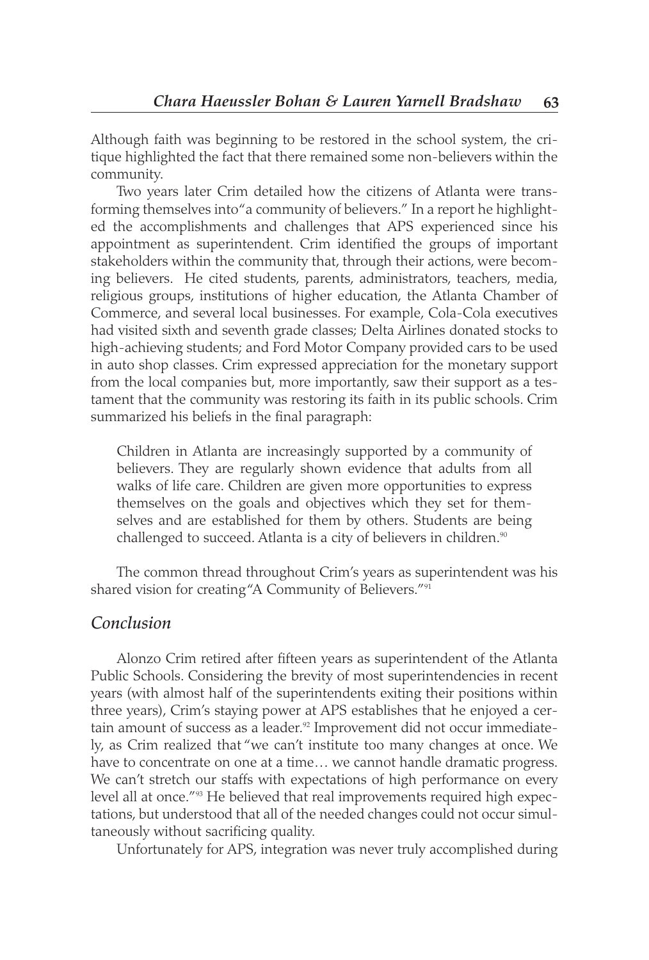Although faith was beginning to be restored in the school system, the critique highlighted the fact that there remained some non-believers within the community.

Two years later Crim detailed how the citizens of Atlanta were transforming themselves into "a community of believers." In a report he highlighted the accomplishments and challenges that APS experienced since his appointment as superintendent. Crim identified the groups of important stakeholders within the community that, through their actions, were becoming believers. He cited students, parents, administrators, teachers, media, religious groups, institutions of higher education, the Atlanta Chamber of Commerce, and several local businesses. For example, Cola-Cola executives had visited sixth and seventh grade classes; Delta Airlines donated stocks to high-achieving students; and Ford Motor Company provided cars to be used in auto shop classes. Crim expressed appreciation for the monetary support from the local companies but, more importantly, saw their support as a testament that the community was restoring its faith in its public schools. Crim summarized his beliefs in the final paragraph:

Children in Atlanta are increasingly supported by a community of believers. They are regularly shown evidence that adults from all walks of life care. Children are given more opportunities to express themselves on the goals and objectives which they set for themselves and are established for them by others. Students are being challenged to succeed. Atlanta is a city of believers in children.<sup>90</sup>

The common thread throughout Crim's years as superintendent was his shared vision for creating "A Community of Believers."<sup>91</sup>

#### *Conclusion*

Alonzo Crim retired after fifteen years as superintendent of the Atlanta Public Schools. Considering the brevity of most superintendencies in recent years (with almost half of the superintendents exiting their positions within three years), Crim's staying power at APS establishes that he enjoyed a certain amount of success as a leader.<sup>92</sup> Improvement did not occur immediately, as Crim realized that "we can't institute too many changes at once. We have to concentrate on one at a time… we cannot handle dramatic progress. We can't stretch our staffs with expectations of high performance on every level all at once."<sup>93</sup> He believed that real improvements required high expectations, but understood that all of the needed changes could not occur simultaneously without sacrificing quality.

Unfortunately for APS, integration was never truly accomplished during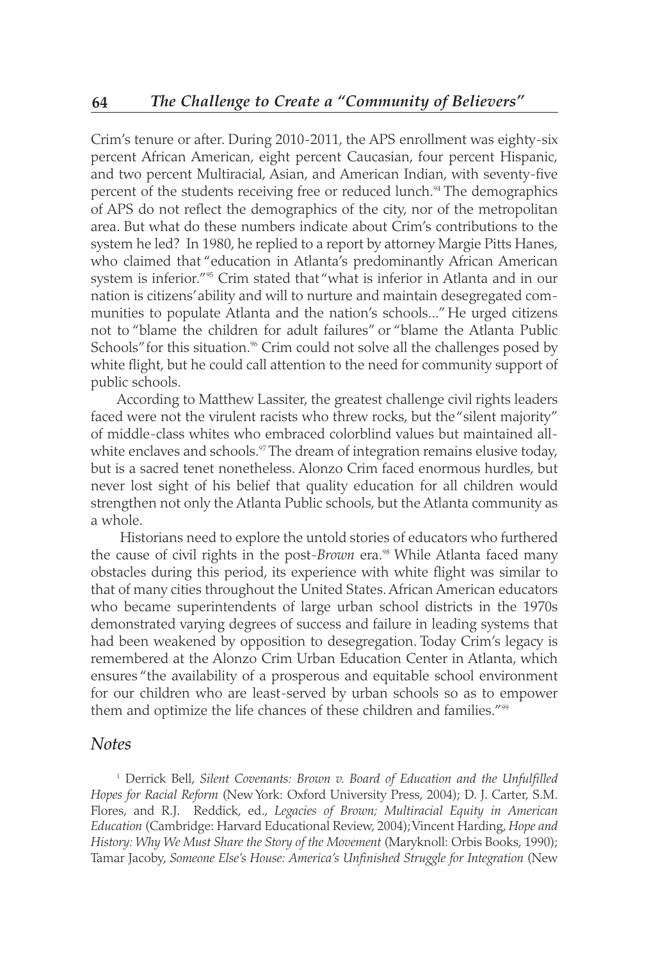Crim's tenure or after. During 2010-2011, the APS enrollment was eighty-six percent African American, eight percent Caucasian, four percent Hispanic, and two percent Multiracial, Asian, and American Indian, with seventy-five percent of the students receiving free or reduced lunch.<sup>94</sup> The demographics of APS do not reflect the demographics of the city, nor of the metropolitan area. But what do these numbers indicate about Crim's contributions to the system he led? In 1980, he replied to a report by attorney Margie Pitts Hanes, who claimed that "education in Atlanta's predominantly African American system is inferior."<sup>95</sup> Crim stated that "what is inferior in Atlanta and in our nation is citizens' ability and will to nurture and maintain desegregated communities to populate Atlanta and the nation's schools..." He urged citizens not to "blame the children for adult failures" or "blame the Atlanta Public Schools" for this situation.<sup>96</sup> Crim could not solve all the challenges posed by white flight, but he could call attention to the need for community support of public schools.

According to Matthew Lassiter, the greatest challenge civil rights leaders faced were not the virulent racists who threw rocks, but the "silent majority" of middle-class whites who embraced colorblind values but maintained allwhite enclaves and schools.<sup>97</sup> The dream of integration remains elusive today, but is a sacred tenet nonetheless. Alonzo Crim faced enormous hurdles, but never lost sight of his belief that quality education for all children would strengthen not only the Atlanta Public schools, but the Atlanta community as a whole.

Historians need to explore the untold stories of educators who furthered the cause of civil rights in the post-*Brown* era.<sup>98</sup> While Atlanta faced many obstacles during this period, its experience with white flight was similar to that of many cities throughout the United States. African American educators who became superintendents of large urban school districts in the 1970s demonstrated varying degrees of success and failure in leading systems that had been weakened by opposition to desegregation. Today Crim's legacy is remembered at the Alonzo Crim Urban Education Center in Atlanta, which ensures "the availability of a prosperous and equitable school environment for our children who are least-served by urban schools so as to empower them and optimize the life chances of these children and families."<sup>99</sup>

#### *Notes*

<sup>1</sup> Derrick Bell, *Silent Covenants: Brown v. Board of Education and the Unfulfilled Hopes for Racial Reform* (New York: Oxford University Press, 2004); D. J. Carter, S.M. Flores, and R.J. Reddick, ed., *Legacies of Brown; Multiracial Equity in American Education* (Cambridge: Harvard Educational Review, 2004); Vincent Harding, *Hope and History: Why We Must Share the Story of the Movement* (Maryknoll: Orbis Books, 1990); Tamar Jacoby, *Someone Else's House: America's Unfinished Struggle for Integration* (New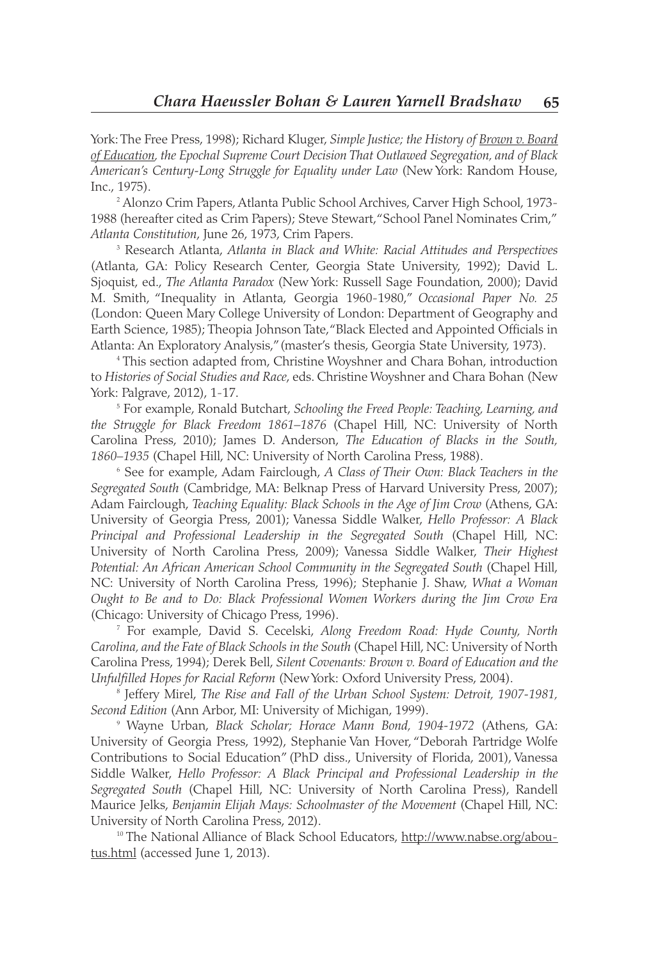York: The Free Press, 1998); Richard Kluger, *Simple Justice; the History of Brown v. Board of Education, the Epochal Supreme Court Decision That Outlawed Segregation, and of Black American's Century-Long Struggle for Equality under Law* (New York: Random House, Inc., 1975).

<sup>2</sup> Alonzo Crim Papers, Atlanta Public School Archives, Carver High School, 1973- 1988 (hereafter cited as Crim Papers); Steve Stewart, "School Panel Nominates Crim," *Atlanta Constitution*, June 26, 1973, Crim Papers.

<sup>3</sup> Research Atlanta, *Atlanta in Black and White: Racial Attitudes and Perspectives* (Atlanta, GA: Policy Research Center, Georgia State University, 1992); David L. Sjoquist, ed., *The Atlanta Paradox* (New York: Russell Sage Foundation, 2000); David M. Smith, "Inequality in Atlanta, Georgia 1960-1980," *Occasional Paper No. 25* (London: Queen Mary College University of London: Department of Geography and Earth Science, 1985); Theopia Johnson Tate, "Black Elected and Appointed Officials in Atlanta: An Exploratory Analysis," (master's thesis, Georgia State University, 1973).

<sup>4</sup> This section adapted from, Christine Woyshner and Chara Bohan, introduction to *Histories of Social Studies and Race*, eds. Christine Woyshner and Chara Bohan (New York: Palgrave, 2012), 1-17.

<sup>5</sup> For example, Ronald Butchart, *Schooling the Freed People: Teaching, Learning, and the Struggle for Black Freedom 1861–1876* (Chapel Hill, NC: University of North Carolina Press, 2010); James D. Anderson, *The Education of Blacks in the South, 1860–1935* (Chapel Hill, NC: University of North Carolina Press, 1988).

<sup>6</sup> See for example, Adam Fairclough, *A Class of Their Own: Black Teachers in the Segregated South* (Cambridge, MA: Belknap Press of Harvard University Press, 2007); Adam Fairclough, *Teaching Equality: Black Schools in the Age of Jim Crow* (Athens, GA: University of Georgia Press, 2001); Vanessa Siddle Walker, *Hello Professor: A Black Principal and Professional Leadership in the Segregated South* (Chapel Hill, NC: University of North Carolina Press, 2009); Vanessa Siddle Walker, *Their Highest Potential: An African American School Community in the Segregated South* (Chapel Hill, NC: University of North Carolina Press, 1996); Stephanie J. Shaw, *What a Woman Ought to Be and to Do: Black Professional Women Workers during the Jim Crow Era* (Chicago: University of Chicago Press, 1996).

<sup>7</sup> For example, David S. Cecelski, *Along Freedom Road: Hyde County, North Carolina, and the Fate of Black Schools in the South* (Chapel Hill, NC: University of North Carolina Press, 1994); Derek Bell, *Silent Covenants: Brown v. Board of Education and the Unfulfilled Hopes for Racial Reform* (New York: Oxford University Press, 2004).

<sup>8</sup> Jeffery Mirel, *The Rise and Fall of the Urban School System: Detroit, 1907-1981, Second Edition* (Ann Arbor, MI: University of Michigan, 1999).

<sup>9</sup> Wayne Urban, *Black Scholar; Horace Mann Bond, 1904-1972* (Athens, GA: University of Georgia Press, 1992), Stephanie Van Hover, "Deborah Partridge Wolfe Contributions to Social Education" (PhD diss., University of Florida, 2001), Vanessa Siddle Walker, *Hello Professor: A Black Principal and Professional Leadership in the Segregated South* (Chapel Hill, NC: University of North Carolina Press), Randell Maurice Jelks, *Benjamin Elijah Mays: Schoolmaster of the Movement* (Chapel Hill, NC: University of North Carolina Press, 2012).

<sup>10</sup> The National Alliance of Black School Educators, http://www.nabse.org/aboutus.html (accessed June 1, 2013).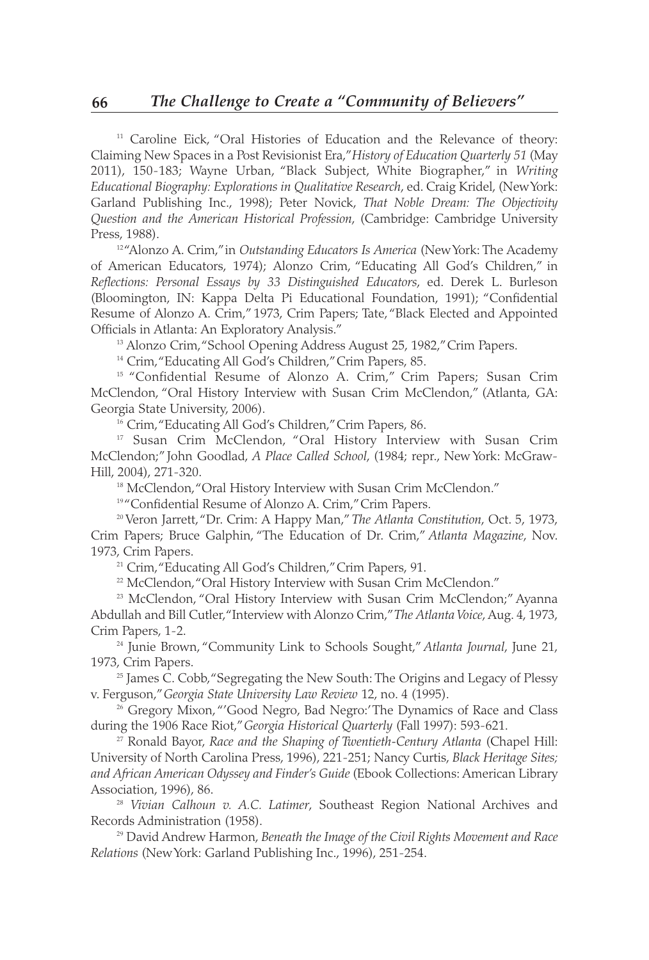<sup>11</sup> Caroline Eick, "Oral Histories of Education and the Relevance of theory: Claiming New Spaces in a Post Revisionist Era," *History of Education Quarterly 51* (May 2011), 150-183; Wayne Urban, "Black Subject, White Biographer," in *Writing Educational Biography: Explorations in Qualitative Research*, ed. Craig Kridel, (New York: Garland Publishing Inc., 1998); Peter Novick, *That Noble Dream: The Objectivity Question and the American Historical Profession*, (Cambridge: Cambridge University Press, 1988).

<sup>12</sup> "Alonzo A. Crim," in *Outstanding Educators Is America* (New York: The Academy of American Educators, 1974); Alonzo Crim, "Educating All God's Children," in *Reflections: Personal Essays by 33 Distinguished Educators*, ed. Derek L. Burleson (Bloomington, IN: Kappa Delta Pi Educational Foundation, 1991); "Confidential Resume of Alonzo A. Crim," 1973, Crim Papers; Tate, "Black Elected and Appointed Officials in Atlanta: An Exploratory Analysis."<br><sup>13</sup> Alonzo Crim, "School Opening Address August 25, 1982," Crim Papers.

<sup>14</sup> Crim, "Educating All God's Children," Crim Papers, 85.

<sup>15</sup> "Confidential Resume of Alonzo A. Crim," Crim Papers; Susan Crim McClendon, "Oral History Interview with Susan Crim McClendon," (Atlanta, GA: Georgia State University, 2006).

<sup>16</sup> Crim, "Educating All God's Children," Crim Papers, 86.

<sup>17</sup> Susan Crim McClendon, "Oral History Interview with Susan Crim McClendon;" John Goodlad, *A Place Called School*, (1984; repr., New York: McGraw-Hill, 2004), 271-320.

<sup>18</sup> McClendon, "Oral History Interview with Susan Crim McClendon."

<sup>19</sup> "Confidential Resume of Alonzo A. Crim," Crim Papers.

<sup>20</sup> Veron Jarrett, "Dr. Crim: A Happy Man," *The Atlanta Constitution*, Oct. 5, 1973, Crim Papers; Bruce Galphin, "The Education of Dr. Crim," *Atlanta Magazine*, Nov. 1973, Crim Papers.

<sup>21</sup> Crim, "Educating All God's Children," Crim Papers, 91.

<sup>22</sup> McClendon, "Oral History Interview with Susan Crim McClendon."

<sup>23</sup> McClendon, "Oral History Interview with Susan Crim McClendon;" Ayanna Abdullah and Bill Cutler, "Interview with Alonzo Crim," *The Atlanta Voice*, Aug. 4, 1973, Crim Papers, 1-2.

<sup>24</sup> Junie Brown, "Community Link to Schools Sought," *Atlanta Journal*, June 21, 1973, Crim Papers.

 $25$  James C. Cobb, "Segregating the New South: The Origins and Legacy of Plessy v. Ferguson," *Georgia State University Law Review* 12, no. 4 (1995).

 $25$  Gregory Mixon, "'Good Negro, Bad Negro:' The Dynamics of Race and Class during the 1906 Race Riot," *Georgia Historical Quarterly* (Fall 1997): 593-621.

<sup>27</sup> Ronald Bayor, *Race and the Shaping of Twentieth-Century Atlanta* (Chapel Hill: University of North Carolina Press, 1996), 221-251; Nancy Curtis, *Black Heritage Sites; and African American Odyssey and Finder's Guide* (Ebook Collections: American Library Association, 1996), 86.

<sup>28</sup> *Vivian Calhoun v. A.C. Latimer*, Southeast Region National Archives and Records Administration (1958).

<sup>29</sup> David Andrew Harmon, *Beneath the Image of the Civil Rights Movement and Race Relations* (New York: Garland Publishing Inc., 1996), 251-254.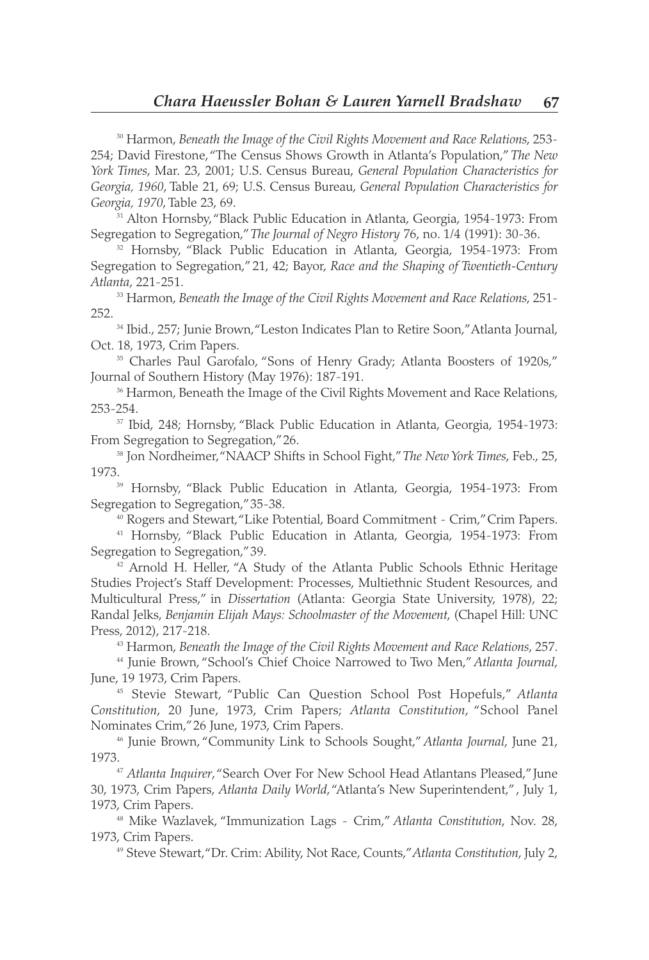<sup>30</sup> Harmon, *Beneath the Image of the Civil Rights Movement and Race Relations*, 253- 254; David Firestone, "The Census Shows Growth in Atlanta's Population," *The New York Times*, Mar. 23, 2001; U.S. Census Bureau, *General Population Characteristics for Georgia, 1960*, Table 21, 69; U.S. Census Bureau, *General Population Characteristics for Georgia, 1970*, Table 23, 69.

<sup>31</sup> Alton Hornsby, "Black Public Education in Atlanta, Georgia, 1954-1973: From Segregation to Segregation," *The Journal of Negro History* 76, no. 1/4 (1991): 30-36.

<sup>32</sup> Hornsby, "Black Public Education in Atlanta, Georgia, 1954-1973: From Segregation to Segregation," 21, 42; Bayor, *Race and the Shaping of Twentieth-Century Atlanta*, 221-251. 33 Harmon, *Beneath the Image of the Civil Rights Movement and Race Relations*, 251-

252.

<sup>34</sup> Ibid., 257; Junie Brown, "Leston Indicates Plan to Retire Soon," Atlanta Journal, Oct. 18, 1973, Crim Papers.

<sup>35</sup> Charles Paul Garofalo, "Sons of Henry Grady; Atlanta Boosters of 1920s," Journal of Southern History (May 1976): 187-191.

<sup>36</sup> Harmon, Beneath the Image of the Civil Rights Movement and Race Relations, 253-254.

<sup>37</sup> Ibid, 248; Hornsby, "Black Public Education in Atlanta, Georgia, 1954-1973: From Segregation to Segregation," 26.

<sup>38</sup> Jon Nordheimer, "NAACP Shifts in School Fight," *The New York Times*, Feb., 25, 1973. 39 Hornsby, "Black Public Education in Atlanta, Georgia, 1954-1973: From

Segregation to Segregation," 35-38.

<sup>40</sup> Rogers and Stewart, "Like Potential, Board Commitment - Crim," Crim Papers.

<sup>41</sup> Hornsby, "Black Public Education in Atlanta, Georgia, 1954-1973: From Segregation to Segregation," 39.

<sup>42</sup> Arnold H. Heller, "A Study of the Atlanta Public Schools Ethnic Heritage Studies Project's Staff Development: Processes, Multiethnic Student Resources, and Multicultural Press," in *Dissertation* (Atlanta: Georgia State University, 1978), 22; Randal Jelks, *Benjamin Elijah Mays: Schoolmaster of the Movement*, (Chapel Hill: UNC Press, 2012), 217-218.

<sup>43</sup> Harmon, *Beneath the Image of the Civil Rights Movement and Race Relations*, 257.

<sup>44</sup> Junie Brown, "School's Chief Choice Narrowed to Two Men," *Atlanta Journal*, June, 19 1973, Crim Papers.

<sup>45</sup> Stevie Stewart, "Public Can Question School Post Hopefuls," *Atlanta Constitution*, 20 June, 1973, Crim Papers; *Atlanta Constitution*, "School Panel Nominates Crim," 26 June, 1973, Crim Papers.

<sup>46</sup> Junie Brown, "Community Link to Schools Sought," *Atlanta Journal*, June 21, 1973.47 *Atlanta Inquirer*, "Search Over For New School Head Atlantans Pleased," June

30, 1973, Crim Papers, *Atlanta Daily World*, "Atlanta's New Superintendent," , July 1, 1973, Crim Papers.

<sup>48</sup> Mike Wazlavek, "Immunization Lags - Crim," *Atlanta Constitution*, Nov. 28, 1973, Crim Papers.

<sup>49</sup> Steve Stewart, "Dr. Crim: Ability, Not Race, Counts," *Atlanta Constitution*, July 2,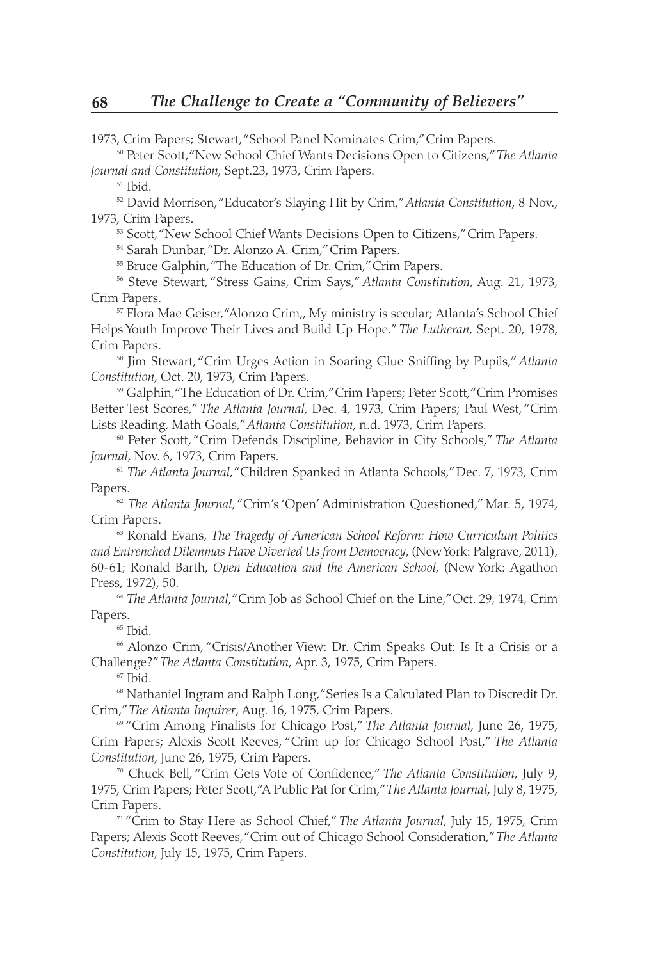1973, Crim Papers; Stewart, "School Panel Nominates Crim," Crim Papers.

<sup>50</sup> Peter Scott, "New School Chief Wants Decisions Open to Citizens," *The Atlanta Journal and Constitution*, Sept.23, 1973, Crim Papers.

<sup>51</sup> Ibid.

<sup>52</sup> David Morrison, "Educator's Slaying Hit by Crim," *Atlanta Constitution*, 8 Nov., 1973, Crim Papers.

53 Scott, "New School Chief Wants Decisions Open to Citizens," Crim Papers.

<sup>54</sup> Sarah Dunbar, "Dr. Alonzo A. Crim," Crim Papers.

<sup>55</sup> Bruce Galphin, "The Education of Dr. Crim," Crim Papers.

<sup>56</sup> Steve Stewart, "Stress Gains, Crim Says," *Atlanta Constitution*, Aug. 21, 1973, Crim Papers.

<sup>57</sup> Flora Mae Geiser, "Alonzo Crim,, My ministry is secular; Atlanta's School Chief Helps Youth Improve Their Lives and Build Up Hope." *The Lutheran*, Sept. 20, 1978, Crim Papers.

<sup>58</sup> Jim Stewart, "Crim Urges Action in Soaring Glue Sniffing by Pupils," *Atlanta Constitution*, Oct. 20, 1973, Crim Papers.

<sup>59</sup> Galphin, "The Education of Dr. Crim," Crim Papers; Peter Scott, "Crim Promises Better Test Scores," *The Atlanta Journal*, Dec. 4, 1973, Crim Papers; Paul West, "Crim Lists Reading, Math Goals," *Atlanta Constitution*, n.d. 1973, Crim Papers.

<sup>60</sup> Peter Scott, "Crim Defends Discipline, Behavior in City Schools," *The Atlanta Journal*, Nov. 6, 1973, Crim Papers.

<sup>61</sup> The Atlanta Journal, "Children Spanked in Atlanta Schools," Dec. 7, 1973, Crim Papers.

<sup>62</sup> *The Atlanta Journal*, "Crim's 'Open' Administration Questioned," Mar. 5, 1974, Crim Papers.

<sup>63</sup> Ronald Evans, *The Tragedy of American School Reform: How Curriculum Politics and Entrenched Dilemmas Have Diverted Us from Democracy*, (New York: Palgrave, 2011), 60-61; Ronald Barth, *Open Education and the American School*, (New York: Agathon Press, 1972), 50.

<sup>64</sup> *The Atlanta Journal*, "Crim Job as School Chief on the Line," Oct. 29, 1974, Crim Papers.

 $65$  Ibid.

<sup>66</sup> Alonzo Crim, "Crisis/Another View: Dr. Crim Speaks Out: Is It a Crisis or a Challenge?" *The Atlanta Constitution*, Apr. 3, 1975, Crim Papers.

 $67$  Ibid.

<sup>68</sup> Nathaniel Ingram and Ralph Long, "Series Is a Calculated Plan to Discredit Dr. Crim," *The Atlanta Inquirer*, Aug. 16, 1975, Crim Papers.

<sup>69</sup> "Crim Among Finalists for Chicago Post," *The Atlanta Journal*, June 26, 1975, Crim Papers; Alexis Scott Reeves, "Crim up for Chicago School Post," *The Atlanta Constitution*, June 26, 1975, Crim Papers.

<sup>70</sup> Chuck Bell, "Crim Gets Vote of Confidence," *The Atlanta Constitution*, July 9, 1975, Crim Papers; Peter Scott, "A Public Pat for Crim," *The Atlanta Journal*, July 8, 1975, Crim Papers.

<sup>71</sup> "Crim to Stay Here as School Chief," *The Atlanta Journal*, July 15, 1975, Crim Papers; Alexis Scott Reeves, "Crim out of Chicago School Consideration," *The Atlanta Constitution*, July 15, 1975, Crim Papers.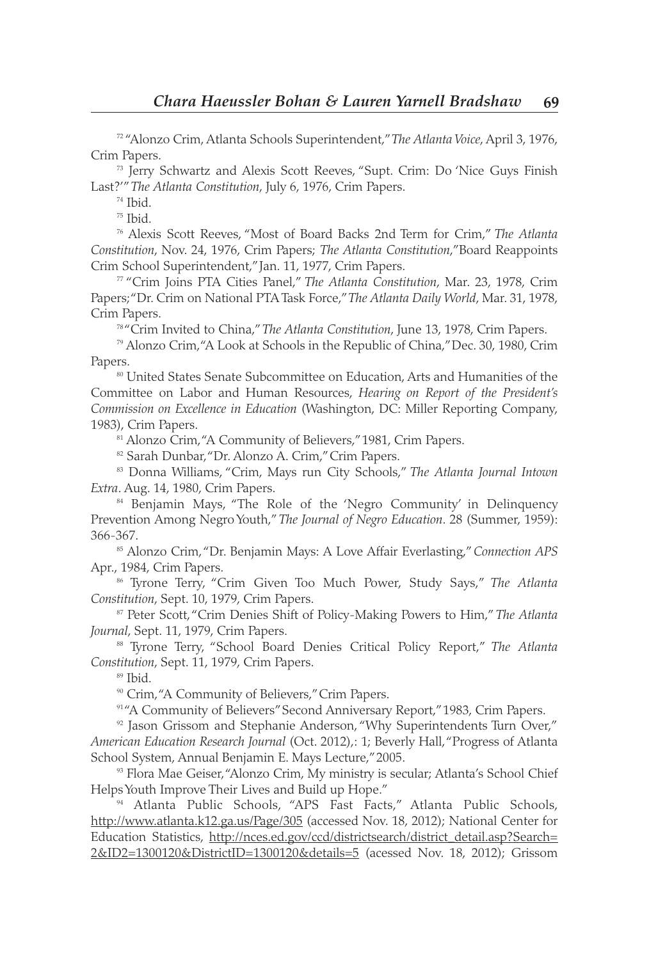72 "Alonzo Crim, Atlanta Schools Superintendent," *The Atlanta Voice*, April 3, 1976, Crim Papers.

<sup>73</sup> Jerry Schwartz and Alexis Scott Reeves, "Supt. Crim: Do 'Nice Guys Finish Last?'" *The Atlanta Constitution*, July 6, 1976, Crim Papers.

<sup>74</sup> Ibid.

 $75$  Ibid.

<sup>76</sup> Alexis Scott Reeves, "Most of Board Backs 2nd Term for Crim," *The Atlanta Constitution*, Nov. 24, 1976, Crim Papers; *The Atlanta Constitution*,"Board Reappoints Crim School Superintendent," Jan. 11, 1977, Crim Papers.

<sup>77</sup> "Crim Joins PTA Cities Panel," *The Atlanta Constitution*, Mar. 23, 1978, Crim Papers; "Dr. Crim on National PTA Task Force," *The Atlanta Daily World*, Mar. 31, 1978, Crim Papers.

<sup>78</sup> "Crim Invited to China," *The Atlanta Constitution*, June 13, 1978, Crim Papers.

<sup>79</sup> Alonzo Crim, "A Look at Schools in the Republic of China," Dec. 30, 1980, Crim Papers.<br><sup>80</sup> United States Senate Subcommittee on Education, Arts and Humanities of the

Committee on Labor and Human Resources, *Hearing on Report of the President's Commission on Excellence in Education* (Washington, DC: Miller Reporting Company, 1983), Crim Papers.

<sup>81</sup> Alonzo Crim, "A Community of Believers," 1981, Crim Papers.

82 Sarah Dunbar, "Dr. Alonzo A. Crim," Crim Papers.

<sup>83</sup> Donna Williams, "Crim, Mays run City Schools," *The Atlanta Journal Intown Extra*. Aug. 14, 1980, Crim Papers.

<sup>84</sup> Benjamin Mays, "The Role of the 'Negro Community' in Delinquency Prevention Among Negro Youth," *The Journal of Negro Education*. 28 (Summer, 1959): 366-367.

<sup>85</sup> Alonzo Crim, "Dr. Benjamin Mays: A Love Affair Everlasting," *Connection APS* Apr., 1984, Crim Papers.

<sup>86</sup> Tyrone Terry, "Crim Given Too Much Power, Study Says," *The Atlanta Constitution*, Sept. 10, 1979, Crim Papers.

<sup>87</sup> Peter Scott, "Crim Denies Shift of Policy-Making Powers to Him," *The Atlanta Journal*, Sept. 11, 1979, Crim Papers.

<sup>88</sup> Tyrone Terry, "School Board Denies Critical Policy Report," *The Atlanta Constitution*, Sept. 11, 1979, Crim Papers.

<sup>89</sup> Ibid.

<sup>90</sup> Crim, "A Community of Believers," Crim Papers.

91"A Community of Believers" Second Anniversary Report," 1983, Crim Papers.

<sup>92</sup> Jason Grissom and Stephanie Anderson, "Why Superintendents Turn Over," *American Education Research Journal* (Oct. 2012),: 1; Beverly Hall, "Progress of Atlanta School System, Annual Benjamin E. Mays Lecture," 2005.

93 Flora Mae Geiser, "Alonzo Crim, My ministry is secular; Atlanta's School Chief Helps Youth Improve Their Lives and Build up Hope."<br><sup>94</sup> Atlanta Public Schools, "APS Fast Facts," Atlanta Public Schools,

http://www.atlanta.k12.ga.us/Page/305 (accessed Nov. 18, 2012); National Center for Education Statistics, http://nces.ed.gov/ccd/districtsearch/district\_detail.asp?Search= 2&ID2=1300120&DistrictID=1300120&details=5 (acessed Nov. 18, 2012); Grissom